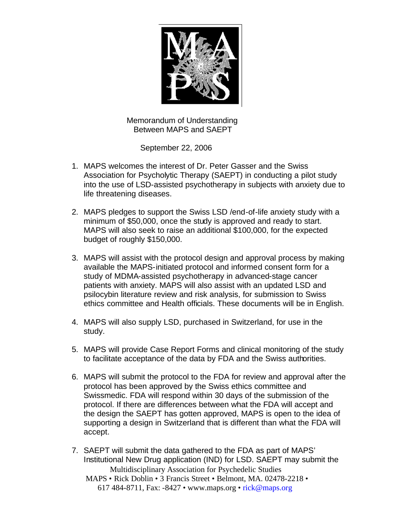

 Memorandum of Understanding Between MAPS and SAEPT

September 22, 2006

- 1. MAPS welcomes the interest of Dr. Peter Gasser and the Swiss Association for Psycholytic Therapy (SAEPT) in conducting a pilot study into the use of LSD-assisted psychotherapy in subjects with anxiety due to life threatening diseases.
- 2. MAPS pledges to support the Swiss LSD /end-of-life anxiety study with a minimum of \$50,000, once the study is approved and ready to start. MAPS will also seek to raise an additional \$100,000, for the expected budget of roughly \$150,000.
- 3. MAPS will assist with the protocol design and approval process by making available the MAPS-initiated protocol and informed consent form for a study of MDMA-assisted psychotherapy in advanced-stage cancer patients with anxiety. MAPS will also assist with an updated LSD and psilocybin literature review and risk analysis, for submission to Swiss ethics committee and Health officials. These documents will be in English.
- 4. MAPS will also supply LSD, purchased in Switzerland, for use in the study.
- 5. MAPS will provide Case Report Forms and clinical monitoring of the study to facilitate acceptance of the data by FDA and the Swiss authorities.
- 6. MAPS will submit the protocol to the FDA for review and approval after the protocol has been approved by the Swiss ethics committee and Swissmedic. FDA will respond within 30 days of the submission of the protocol. If there are differences between what the FDA will accept and the design the SAEPT has gotten approved, MAPS is open to the idea of supporting a design in Switzerland that is different than what the FDA will accept.
- Multidisciplinary Association for Psychedelic Studies MAPS • Rick Doblin • 3 Francis Street • Belmont, MA. 02478-2218 • 617 484-8711, Fax: -8427 • www.maps.org • rick@maps.org 7. SAEPT will submit the data gathered to the FDA as part of MAPS' Institutional New Drug application (IND) for LSD. SAEPT may submit the